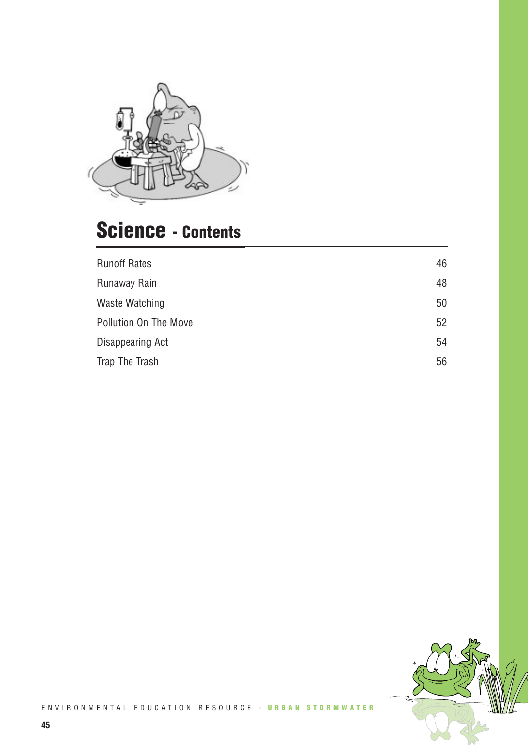

## **Science - Contents**

| <b>Runoff Rates</b>   | 46 |
|-----------------------|----|
| Runaway Rain          | 48 |
| Waste Watching        | 50 |
| Pollution On The Move | 52 |
| Disappearing Act      | 54 |
| Trap The Trash        | 56 |
|                       |    |

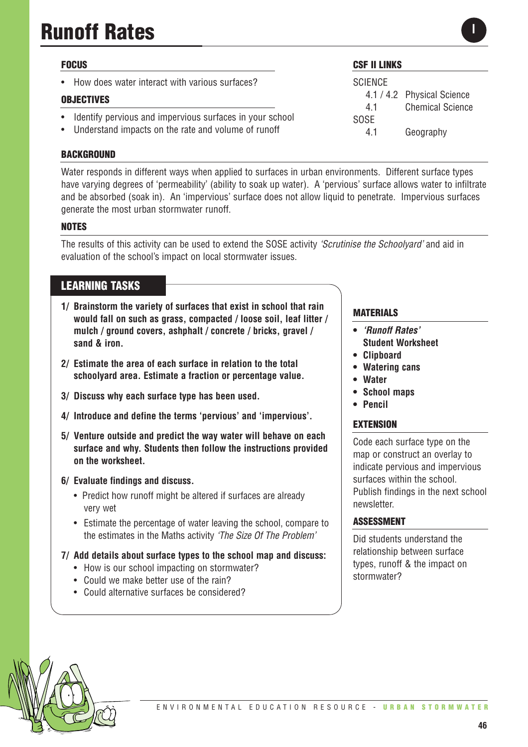# **Runoff Rates**

#### **FOCUS**

• How does water interact with various surfaces?

#### **OBJECTIVES**

- Identify pervious and impervious surfaces in your school
- Understand impacts on the rate and volume of runoff

#### **BACKGROUND**

Water responds in different ways when applied to surfaces in urban environments. Different surface types have varying degrees of 'permeability' (ability to soak up water). A 'pervious' surface allows water to infiltrate and be absorbed (soak in). An 'impervious' surface does not allow liquid to penetrate. Impervious surfaces generate the most urban stormwater runoff.

#### **NOTES**

The results of this activity can be used to extend the SOSE activity *'Scrutinise the Schoolyard'* and aid in evaluation of the school's impact on local stormwater issues.

### **LEARNING TASKS**

- **1/ Brainstorm the variety of surfaces that exist in school that rain would fall on such as grass, compacted / loose soil, leaf litter / mulch / ground covers, ashphalt / concrete / bricks, gravel / sand & iron.**
- **2/ Estimate the area of each surface in relation to the total schoolyard area. Estimate a fraction or percentage value.**
- **3/ Discuss why each surface type has been used.**
- **4/ Introduce and define the terms 'pervious' and 'impervious'.**
- **5/ Venture outside and predict the way water will behave on each surface and why. Students then follow the instructions provided on the worksheet.**

#### **6/ Evaluate findings and discuss.**

- Predict how runoff might be altered if surfaces are already very wet
- Estimate the percentage of water leaving the school, compare to the estimates in the Maths activity *'The Size Of The Problem'*
- **7/ Add details about surface types to the school map and discuss:**
	- How is our school impacting on stormwater?
	- Could we make better use of the rain?
	- Could alternative surfaces be considered?

#### **MATERIALS**

**CSF II LINKS**

4.1 / 4.2 Physical Science 4.1 Chemical Science

4.1 Geography

**SCIENCE** 

SOSE

- **•** *'Runoff Rates'*  **Student Worksheet**
- **• Clipboard**
- **Watering cans**
- **Water**
- **• School maps**
- **• Pencil**

#### **EXTENSION**

Code each surface type on the map or construct an overlay to indicate pervious and impervious surfaces within the school. Publish findings in the next school newsletter.

#### **ASSESSMENT**

Did students understand the relationship between surface types, runoff & the impact on stormwater?

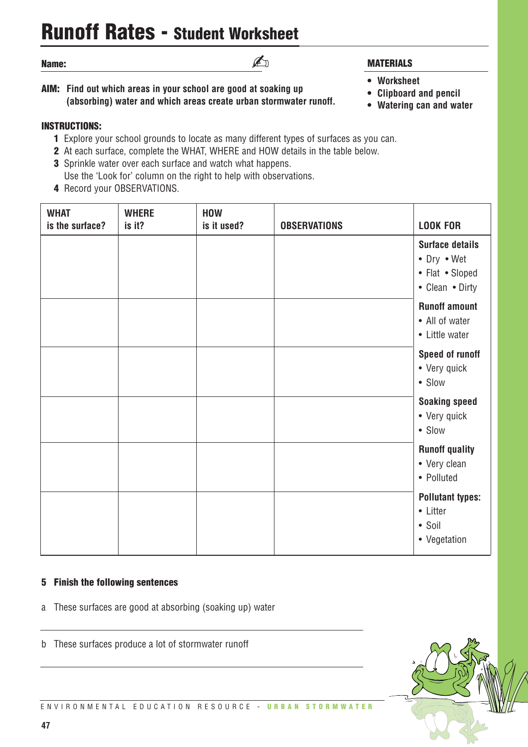## **Runoff Rates - Student Worksheet**

#### **Name:**

**AIM: Find out which areas in your school are good at soaking up (absorbing) water and which areas create urban stormwater runoff.**

#### **INSTRUCTIONS:**

- **1** Explore your school grounds to locate as many different types of surfaces as you can.
- **2** At each surface, complete the WHAT, WHERE and HOW details in the table below.
- **3** Sprinkle water over each surface and watch what happens. Use the 'Look for' column on the right to help with observations.
- **4** Record your OBSERVATIONS.

## **WHAT WHERE HOW is the surface? is it? is it used? OBSERVATIONS LOOK FOR Surface details** • Dry • Wet • Flat • Sloped • Clean • Dirty **Runoff amount** • All of water • Little water **Speed of runoff** • Very quick • Slow **Soaking speed** • Very quick • Slow **Runoff quality** • Very clean • Polluted **Pollutant types:** • Litter • Soil • Vegetation

#### **5 Finish the following sentences**

- a These surfaces are good at absorbing (soaking up) water
- b These surfaces produce a lot of stormwater runoff

### **MATERIALS**

- **Worksheet**
- **• Clipboard and pencil**
- **Watering can and water**



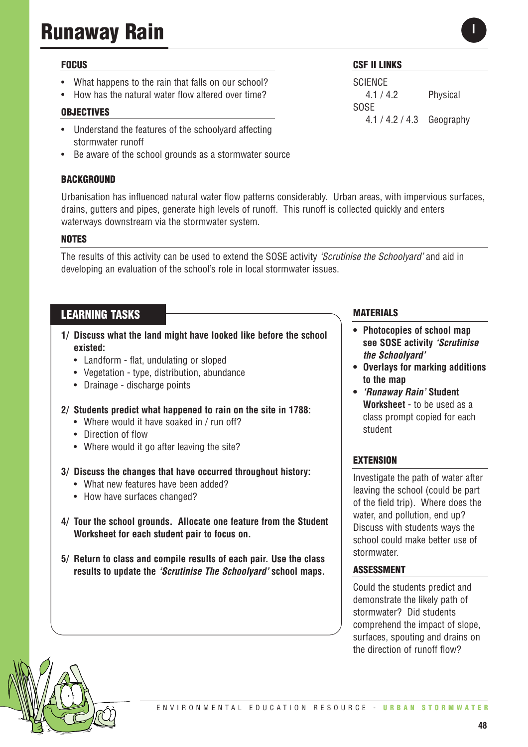# **Runaway Rain**

#### **FOCUS**

- What happens to the rain that falls on our school?
- How has the natural water flow altered over time?

#### **OBJECTIVES**

- Understand the features of the schoolyard affecting stormwater runoff
- Be aware of the school grounds as a stormwater source

#### **BACKGROUND**

Urbanisation has influenced natural water flow patterns considerably. Urban areas, with impervious surfaces, drains, gutters and pipes, generate high levels of runoff. This runoff is collected quickly and enters waterways downstream via the stormwater system.

#### **NOTES**

The results of this activity can be used to extend the SOSE activity *'Scrutinise the Schoolyard'* and aid in developing an evaluation of the school's role in local stormwater issues.

#### **LEARNING TASKS**

- **1/ Discuss what the land might have looked like before the school existed:**
	- Landform flat, undulating or sloped
	- Vegetation type, distribution, abundance
	- Drainage discharge points
- **2/ Students predict what happened to rain on the site in 1788:**
	- Where would it have soaked in / run off?
	- Direction of flow
	- Where would it go after leaving the site?
- **3/ Discuss the changes that have occurred throughout history:**
	- What new features have been added?
	- How have surfaces changed?
- **4/ Tour the school grounds. Allocate one feature from the Student Worksheet for each student pair to focus on.**
- **5/ Return to class and compile results of each pair. Use the class results to update the** *'Scrutinise The Schoolyard'* **school maps.**

#### **CSF II LINKS**

**SCIENCE** 4.1 / 4.2 Physical SOSE 4.1 / 4.2 / 4.3 Geography

#### **MATERIALS**

- **• Photocopies of school map see SOSE activity** *'Scrutinise the Schoolyard'*
- **• Overlays for marking additions to the map**
- **•** *'Runaway Rain'* **Student Worksheet** - to be used as a class prompt copied for each student

#### **EXTENSION**

Investigate the path of water after leaving the school (could be part of the field trip). Where does the water, and pollution, end up? Discuss with students ways the school could make better use of stormwater.

#### **ASSESSMENT**

Could the students predict and demonstrate the likely path of stormwater? Did students comprehend the impact of slope, surfaces, spouting and drains on the direction of runoff flow?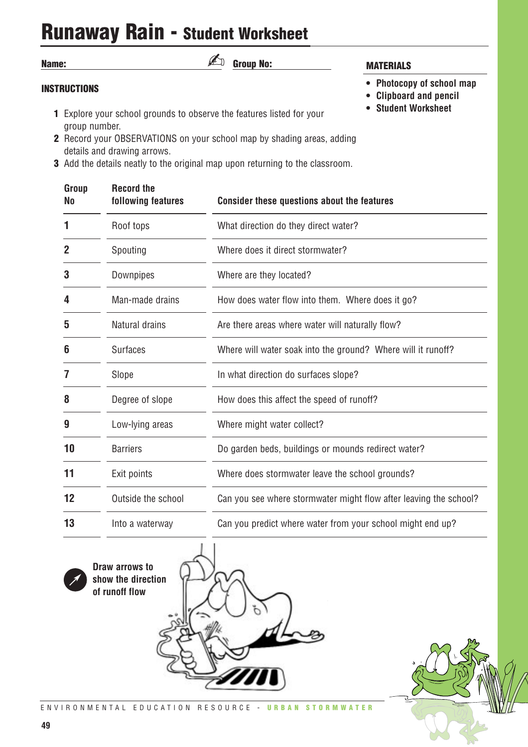## **Runaway Rain - Student Worksheet**

| <b>Group No:</b><br>Name:                                                                                    | <b>MATERIALS</b>                                    |
|--------------------------------------------------------------------------------------------------------------|-----------------------------------------------------|
| <b>INSTRUCTIONS</b>                                                                                          | • Photocopy of school map<br>• Clipboard and pencil |
| <b>1</b> Explore your school grounds to observe the features listed for your<br>group number.                | • Student Worksheet                                 |
| <b>2</b> Record your OBSERVATIONS on your school map by shading areas, adding<br>details and drawing arrows. |                                                     |
| a Add the details neeth to the exiginal man unan returning to the elegancem                                  |                                                     |

**3** Add the details neatly to the original map upon returning to the classroom.

| Group<br><b>No</b> | <b>Record the</b><br>following features | <b>Consider these questions about the features</b>                |
|--------------------|-----------------------------------------|-------------------------------------------------------------------|
| 1                  | Roof tops                               | What direction do they direct water?                              |
| 2                  | Spouting                                | Where does it direct stormwater?                                  |
| 3                  | Downpipes                               | Where are they located?                                           |
| 4                  | Man-made drains                         | How does water flow into them. Where does it go?                  |
| 5                  | Natural drains                          | Are there areas where water will naturally flow?                  |
| 6                  | <b>Surfaces</b>                         | Where will water soak into the ground? Where will it runoff?      |
| 7                  | Slope                                   | In what direction do surfaces slope?                              |
| 8                  | Degree of slope                         | How does this affect the speed of runoff?                         |
| 9                  | Low-lying areas                         | Where might water collect?                                        |
| 10                 | <b>Barriers</b>                         | Do garden beds, buildings or mounds redirect water?               |
| 11                 | Exit points                             | Where does stormwater leave the school grounds?                   |
| 12                 | Outside the school                      | Can you see where stormwater might flow after leaving the school? |
| 13                 | Into a waterway                         | Can you predict where water from your school might end up?        |
|                    |                                         |                                                                   |



**Draw arrows to show the direction of runoff flow**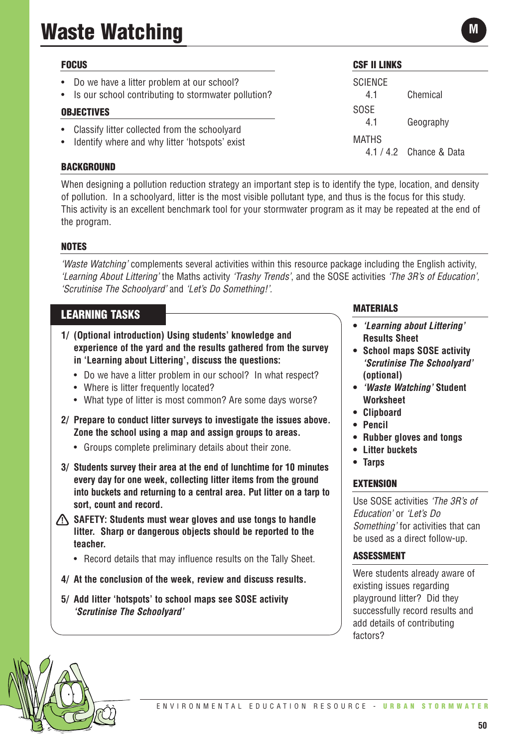# **Waste Watching**

| <b>FOCUS</b>                                                                                        | <b>CSF II LINKS</b>   |                                      |
|-----------------------------------------------------------------------------------------------------|-----------------------|--------------------------------------|
| Do we have a litter problem at our school?<br>• Is our school contributing to stormwater pollution? | <b>SCIENCE</b><br>4.1 | Chemical                             |
| <b>OBJECTIVES</b>                                                                                   | <b>SOSE</b>           |                                      |
| Classify litter collected from the schoolyard<br>Identify where and why litter 'hotspots' exist     | 4.1<br><b>MATHS</b>   | Geography<br>$4.1/4.2$ Chance & Data |
| <b>BACKGROUND</b>                                                                                   |                       |                                      |

When designing a pollution reduction strategy an important step is to identify the type, location, and density of pollution. In a schoolyard, litter is the most visible pollutant type, and thus is the focus for this study. This activity is an excellent benchmark tool for your stormwater program as it may be repeated at the end of the program.

#### **NOTES**

*'Waste Watching'* complements several activities within this resource package including the English activity, *'Learning About Littering'* the Maths activity *'Trashy Trends'*, and the SOSE activities *'The 3R's of Education', 'Scrutinise The Schoolyard'* and *'Let's Do Something!'.*

### **LEARNING TASKS**

- **1/ (Optional introduction) Using students' knowledge and experience of the yard and the results gathered from the survey in 'Learning about Littering', discuss the questions:** 
	- Do we have a litter problem in our school? In what respect?
	- Where is litter frequently located?
	- What type of litter is most common? Are some days worse?
- **2/ Prepare to conduct litter surveys to investigate the issues above. Zone the school using a map and assign groups to areas.**
	- Groups complete preliminary details about their zone.
- **3/ Students survey their area at the end of lunchtime for 10 minutes every day for one week, collecting litter items from the ground into buckets and returning to a central area. Put litter on a tarp to sort, count and record.**
- **SAFETY: Students must wear gloves and use tongs to handle litter. Sharp or dangerous objects should be reported to the teacher.**
	- Record details that may influence results on the Tally Sheet.
- **4/ At the conclusion of the week, review and discuss results.**
- **5/ Add litter 'hotspots' to school maps see SOSE activity** *'Scrutinise The Schoolyard'*

#### **MATERIALS**

- **•** *'Learning about Littering'* **Results Sheet**
- **• School maps SOSE activity** *'Scrutinise The Schoolyard'* **(optional)**
- **•** *'Waste Watching'* **Student Worksheet**
- **• Clipboard**
- **• Pencil**
- **• Rubber gloves and tongs**
- **• Litter buckets**
- **Tarps**

#### **EXTENSION**

Use SOSE activities *'The 3R's of Education'* or *'Let's Do Something'* for activities that can be used as a direct follow-up.

#### **ASSESSMENT**

Were students already aware of existing issues regarding playground litter? Did they successfully record results and add details of contributing factors?

**M**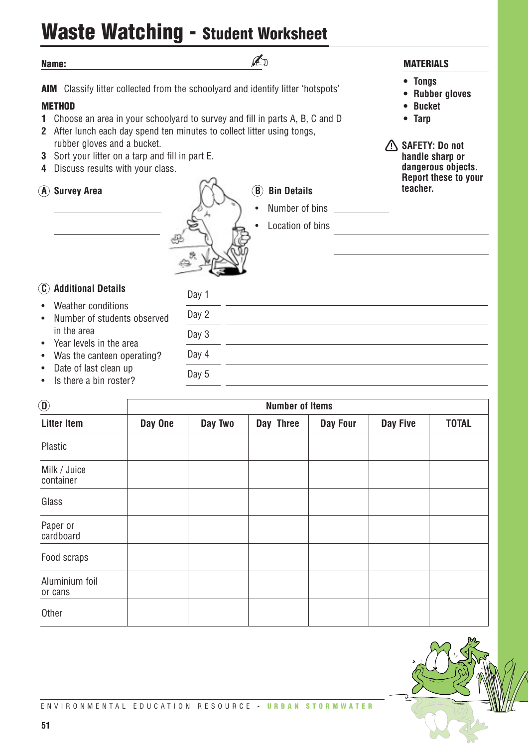## **Waste Watching - Student Worksheet**

**Name: AIM** Classify litter collected from the schoolyard and identify litter 'hotspots' **METHOD 1** Choose an area in your schoolyard to survey and fill in parts A, B, C and D **2** After lunch each day spend ten minutes to collect litter using tongs, rubber gloves and a bucket. **3** Sort your litter on a tarp and fill in part E. **4** Discuss results with your class. **A** Survey Area **B B B** Bin Details Number of bins Location of bins **C Additional Details** Weather conditions • Number of students observed in the area • Year levels in the area • Was the canteen operating? Date of last clean up **• Tongs • Rubber gloves • Bucket • Tarp SAFETY: Do not handle sharp or dangerous objects. Report these to your teacher.** Day 1 Day 2 Day 3 Day 4 Day 5 ✍

Is there a bin roster?

| $\textcircled{\scriptsize{1}}$ | <b>Number of Items</b> |         |           |          |          |              |
|--------------------------------|------------------------|---------|-----------|----------|----------|--------------|
| <b>Litter Item</b>             | Day One                | Day Two | Day Three | Day Four | Day Five | <b>TOTAL</b> |
| Plastic                        |                        |         |           |          |          |              |
| Milk / Juice<br>container      |                        |         |           |          |          |              |
| Glass                          |                        |         |           |          |          |              |
| Paper or<br>cardboard          |                        |         |           |          |          |              |
| Food scraps                    |                        |         |           |          |          |              |
| Aluminium foil<br>or cans      |                        |         |           |          |          |              |
| Other                          |                        |         |           |          |          |              |

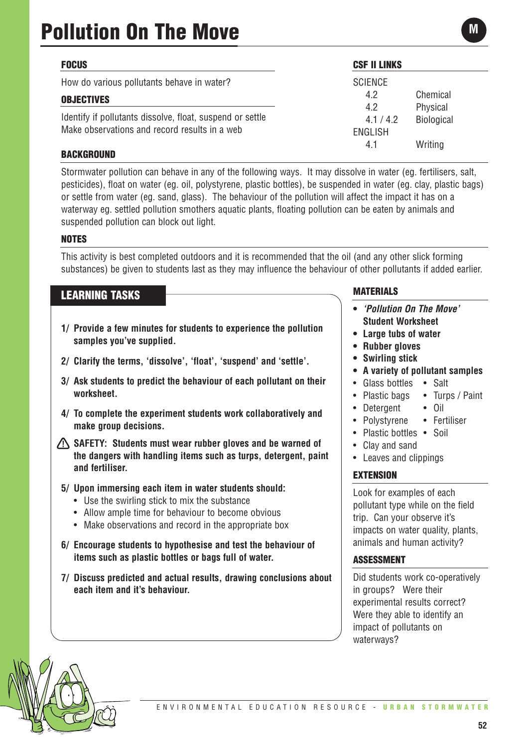| <b>FOCUS</b>                                                                                               | <b>CSF II LINKS</b>         |                      |
|------------------------------------------------------------------------------------------------------------|-----------------------------|----------------------|
| How do various pollutants behave in water?                                                                 | <b>SCIENCE</b>              |                      |
| <b>OBJECTIVES</b>                                                                                          | 4.2<br>4.2                  | Chemical<br>Physical |
| Identify if pollutants dissolve, float, suspend or settle<br>Make observations and record results in a web | 4.1 / 4.2<br><b>ENGLISH</b> | Biological           |
| <b>BACKGROUND</b>                                                                                          | 4.1                         | Writing              |

Stormwater pollution can behave in any of the following ways. It may dissolve in water (eg. fertilisers, salt, pesticides), float on water (eg. oil, polystyrene, plastic bottles), be suspended in water (eg. clay, plastic bags) or settle from water (eg. sand, glass). The behaviour of the pollution will affect the impact it has on a waterway eg. settled pollution smothers aquatic plants, floating pollution can be eaten by animals and suspended pollution can block out light.

#### **NOTES**

This activity is best completed outdoors and it is recommended that the oil (and any other slick forming substances) be given to students last as they may influence the behaviour of other pollutants if added earlier.

### **LEARNING TASKS**

- **1/ Provide a few minutes for students to experience the pollution samples you've supplied.**
- **2/ Clarify the terms, 'dissolve', 'float', 'suspend' and 'settle'.**
- **3/ Ask students to predict the behaviour of each pollutant on their worksheet.**
- **4/ To complete the experiment students work collaboratively and make group decisions.**
- **SAFETY:** Students must wear rubber gloves and be warned of **the dangers with handling items such as turps, detergent, paint and fertiliser.**
- **5/ Upon immersing each item in water students should:**
	- Use the swirling stick to mix the substance
	- Allow ample time for behaviour to become obvious
	- Make observations and record in the appropriate box
- **6/ Encourage students to hypothesise and test the behaviour of items such as plastic bottles or bags full of water.**
- **7/ Discuss predicted and actual results, drawing conclusions about each item and it's behaviour.**

#### **MATERIALS**

- **•** *'Pollution On The Move'* **Student Worksheet**
- **• Large tubs of water**
- **• Rubber gloves**
- **• Swirling stick**
- **A variety of pollutant samples**
- Glass bottles Salt
- Plastic bags Turps / Paint
- Detergent Oil
- Polystyrene Fertiliser
- Plastic bottles Soil
- Clay and sand
- Leaves and clippings

#### **EXTENSION**

Look for examples of each pollutant type while on the field trip. Can your observe it's impacts on water quality, plants, animals and human activity?

#### **ASSESSMENT**

Did students work co-operatively in groups? Were their experimental results correct? Were they able to identify an impact of pollutants on waterways?

**M**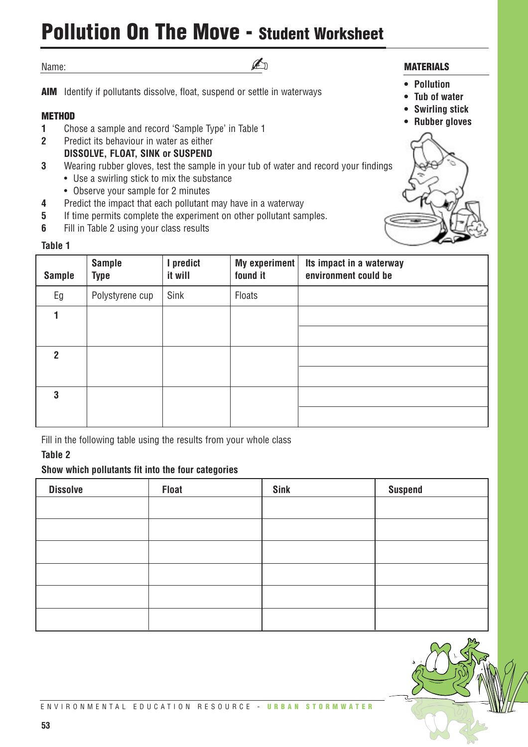## **Pollution On The Move - Student Worksheet**

✍

Name:

**AIM** Identify if pollutants dissolve, float, suspend or settle in waterways

#### **METHOD**

- **1** Chose a sample and record 'Sample Type' in Table 1
- **2** Predict its behaviour in water as either
- **DISSOLVE, FLOAT, SINK or SUSPEND**
- **3** Wearing rubber gloves, test the sample in your tub of water and record your findings
	- Use a swirling stick to mix the substance
	- Observe your sample for 2 minutes
- **4** Predict the impact that each pollutant may have in a waterway
- **5** If time permits complete the experiment on other pollutant samples.
- **6** Fill in Table 2 using your class results

#### **Table 1**

| <b>Sample</b> | <b>Sample</b><br><b>Type</b> | I predict<br>it will | <b>My experiment</b><br>found it | Its impact in a waterway<br>environment could be |
|---------------|------------------------------|----------------------|----------------------------------|--------------------------------------------------|
| Eg            | Polystyrene cup              | Sink                 | Floats                           |                                                  |
|               |                              |                      |                                  |                                                  |
|               |                              |                      |                                  |                                                  |
| 2             |                              |                      |                                  |                                                  |
|               |                              |                      |                                  |                                                  |
| 3             |                              |                      |                                  |                                                  |
|               |                              |                      |                                  |                                                  |

Fill in the following table using the results from your whole class

#### **Table 2**

#### **Show which pollutants fit into the four categories**

| <b>Dissolve</b> | <b>Float</b> | Sink | <b>Suspend</b> |
|-----------------|--------------|------|----------------|
|                 |              |      |                |
|                 |              |      |                |
|                 |              |      |                |
|                 |              |      |                |
|                 |              |      |                |
|                 |              |      |                |



- **MATERIALS**
	- **• Pollution**
	- **Tub of water**
	- **• Swirling stick**
	- **• Rubber gloves**



ENVIRONMENTAL EDUCATION RESOURCE - **URBAN STORMWATER**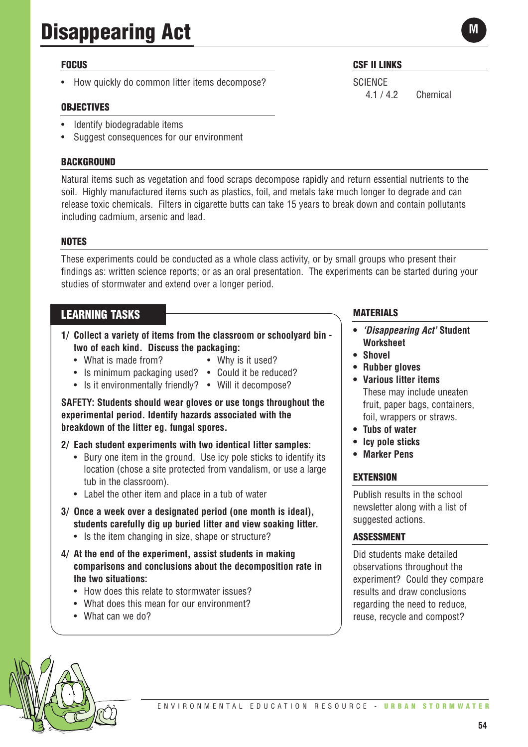# **Disappearing Act**

#### **FOCUS**

• How quickly do common litter items decompose?

#### **OBJECTIVES**

- Identify biodegradable items
- Suggest consequences for our environment

#### **BACKGROUND**

Natural items such as vegetation and food scraps decompose rapidly and return essential nutrients to the soil. Highly manufactured items such as plastics, foil, and metals take much longer to degrade and can release toxic chemicals. Filters in cigarette butts can take 15 years to break down and contain pollutants including cadmium, arsenic and lead.

#### **NOTES**

These experiments could be conducted as a whole class activity, or by small groups who present their findings as: written science reports; or as an oral presentation. The experiments can be started during your studies of stormwater and extend over a longer period.

#### **LEARNING TASKS**

- **1/ Collect a variety of items from the classroom or schoolyard bin two of each kind. Discuss the packaging:**
	- What is made from? Why is it used?
		-
	- Is minimum packaging used? Could it be reduced?
	- Is it environmentally friendly? Will it decompose?

**SAFETY: Students should wear gloves or use tongs throughout the experimental period. Identify hazards associated with the breakdown of the litter eg. fungal spores.**

#### **2/ Each student experiments with two identical litter samples:**

- Bury one item in the ground. Use icy pole sticks to identify its location (chose a site protected from vandalism, or use a large tub in the classroom).
- Label the other item and place in a tub of water
- **3/ Once a week over a designated period (one month is ideal), students carefully dig up buried litter and view soaking litter.** 
	- Is the item changing in size, shape or structure?
- **4/ At the end of the experiment, assist students in making comparisons and conclusions about the decomposition rate in the two situations:**
	- How does this relate to stormwater issues?
	- What does this mean for our environment?
	- What can we do?

### **CSF II LINKS**

**SCIENCE** 4.1 / 4.2 Chemical

**MATERIALS**

- **•** *'Disappearing Act'* **Student Worksheet**
- **• Shovel**
- **• Rubber gloves**
- **Various litter items**  These may include uneaten fruit, paper bags, containers, foil, wrappers or straws.
- **Tubs of water**
- **• Icy pole sticks**
- **• Marker Pens**

#### **EXTENSION**

Publish results in the school newsletter along with a list of suggested actions.

#### **ASSESSMENT**

Did students make detailed observations throughout the experiment? Could they compare results and draw conclusions regarding the need to reduce, reuse, recycle and compost?

**M**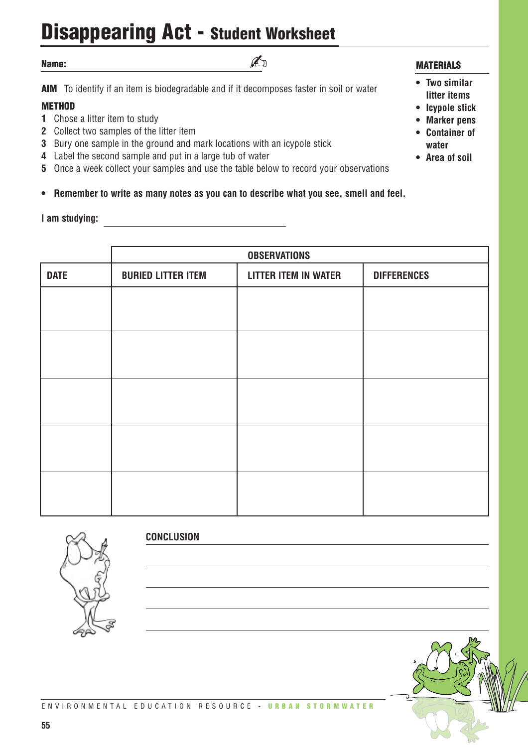## **Disappearing Act - Student Worksheet**

#### **Name:**

**AIM** To identify if an item is biodegradable and if it decomposes faster in soil or water

✍

#### **METHOD**

- **1** Chose a litter item to study
- **2** Collect two samples of the litter item
- **3** Bury one sample in the ground and mark locations with an icypole stick
- **4** Label the second sample and put in a large tub of water
- **5** Once a week collect your samples and use the table below to record your observations

**• Remember to write as many notes as you can to describe what you see, smell and feel.**

#### **I am studying:**

#### **MATERIALS**

- **Two similar litter items**
- **• Icypole stick**
- **• Marker pens**
- **• Container of water**
- **Area of soil**

|             | <b>OBSERVATIONS</b>       |                             |                    |
|-------------|---------------------------|-----------------------------|--------------------|
| <b>DATE</b> | <b>BURIED LITTER ITEM</b> | <b>LITTER ITEM IN WATER</b> | <b>DIFFERENCES</b> |
|             |                           |                             |                    |
|             |                           |                             |                    |
|             |                           |                             |                    |
|             |                           |                             |                    |
|             |                           |                             |                    |
|             |                           |                             |                    |
|             |                           |                             |                    |
|             |                           |                             |                    |
|             |                           |                             |                    |
|             |                           |                             |                    |



**CONCLUSION**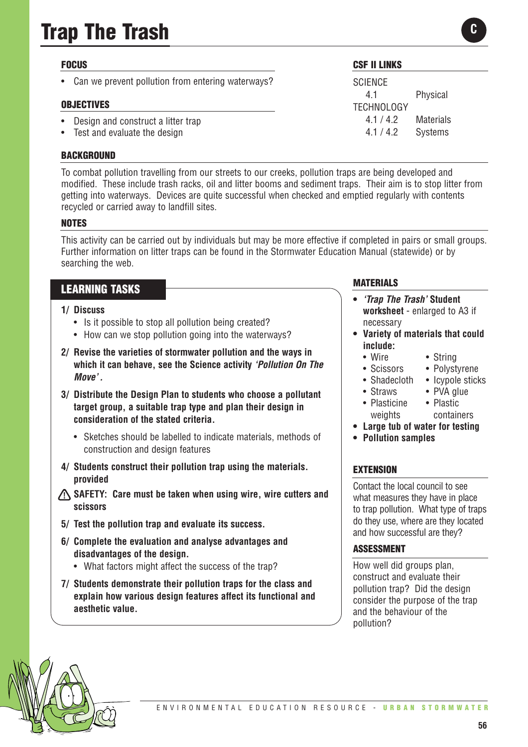# **Trap The Trash**

#### **FOCUS**

• Can we prevent pollution from entering waterways?

#### **OBJECTIVES**

- Design and construct a litter trap
- Test and evaluate the design

#### **BACKGROUND**

To combat pollution travelling from our streets to our creeks, pollution traps are being developed and modified. These include trash racks, oil and litter booms and sediment traps. Their aim is to stop litter from getting into waterways. Devices are quite successful when checked and emptied regularly with contents recycled or carried away to landfill sites.

#### **NOTES**

This activity can be carried out by individuals but may be more effective if completed in pairs or small groups. Further information on litter traps can be found in the Stormwater Education Manual (statewide) or by searching the web.

### **LEARNING TASKS**

#### **1/ Discuss**

- Is it possible to stop all pollution being created?
- How can we stop pollution going into the waterways?
- **2/ Revise the varieties of stormwater pollution and the ways in which it can behave, see the Science activity** *'Pollution On The Move' .*
- **3/ Distribute the Design Plan to students who choose a pollutant target group, a suitable trap type and plan their design in consideration of the stated criteria.** 
	- Sketches should be labelled to indicate materials, methods of construction and design features
- **4/ Students construct their pollution trap using the materials. provided**
- **SAFETY:** Care must be taken when using wire, wire cutters and **scissors**
- **5/ Test the pollution trap and evaluate its success.**
- **6/ Complete the evaluation and analyse advantages and disadvantages of the design.** 
	- What factors might affect the success of the trap?
- **7/ Students demonstrate their pollution traps for the class and explain how various design features affect its functional and aesthetic value.**

#### **CSF II LINKS**

**SCIENCE** 4.1 Physical TECHNOLOGY 4.1 / 4.2 Materials 4.1 / 4.2 Systems

#### **MATERIALS**

- **•** *'Trap The Trash'* **Student worksheet** - enlarged to A3 if necessary
- **Variety of materials that could include:**
	- Wire String
	- Scissors Polystyrene
	- Shadecloth Icypole sticks
	- Straws PVA glue
	- Plasticine Plastic weights containers
- **• Large tub of water for testing**
- **• Pollution samples**

#### **EXTENSION**

Contact the local council to see what measures they have in place to trap pollution. What type of traps do they use, where are they located and how successful are they?

#### **ASSESSMENT**

How well did groups plan, construct and evaluate their pollution trap? Did the design consider the purpose of the trap and the behaviour of the pollution?